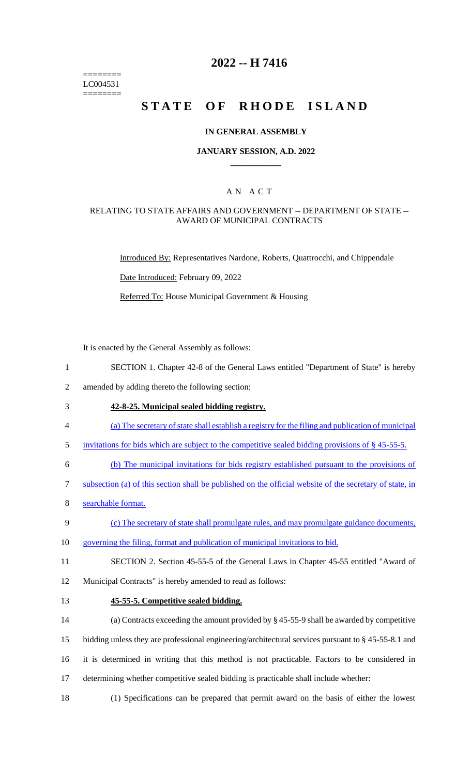======== LC004531 ========

### **2022 -- H 7416**

# **STATE OF RHODE ISLAND**

#### **IN GENERAL ASSEMBLY**

#### **JANUARY SESSION, A.D. 2022 \_\_\_\_\_\_\_\_\_\_\_\_**

### A N A C T

#### RELATING TO STATE AFFAIRS AND GOVERNMENT -- DEPARTMENT OF STATE -- AWARD OF MUNICIPAL CONTRACTS

Introduced By: Representatives Nardone, Roberts, Quattrocchi, and Chippendale

Date Introduced: February 09, 2022

Referred To: House Municipal Government & Housing

It is enacted by the General Assembly as follows:

- 1 SECTION 1. Chapter 42-8 of the General Laws entitled "Department of State" is hereby
- 2 amended by adding thereto the following section:
- 3 **42-8-25. Municipal sealed bidding registry.**
- 4 (a) The secretary of state shall establish a registry for the filing and publication of municipal
- 5 invitations for bids which are subject to the competitive sealed bidding provisions of § 45-55-5.
- 6 (b) The municipal invitations for bids registry established pursuant to the provisions of
- 7 subsection (a) of this section shall be published on the official website of the secretary of state, in
- 8 searchable format.
- 9 (c) The secretary of state shall promulgate rules, and may promulgate guidance documents,
- 10 governing the filing, format and publication of municipal invitations to bid.
- 11 SECTION 2. Section 45-55-5 of the General Laws in Chapter 45-55 entitled "Award of

12 Municipal Contracts" is hereby amended to read as follows:

13 **45-55-5. Competitive sealed bidding.**

14 (a) Contracts exceeding the amount provided by § 45-55-9 shall be awarded by competitive

- 15 bidding unless they are professional engineering/architectural services pursuant to § 45-55-8.1 and
- 16 it is determined in writing that this method is not practicable. Factors to be considered in
- 17 determining whether competitive sealed bidding is practicable shall include whether:
- 18 (1) Specifications can be prepared that permit award on the basis of either the lowest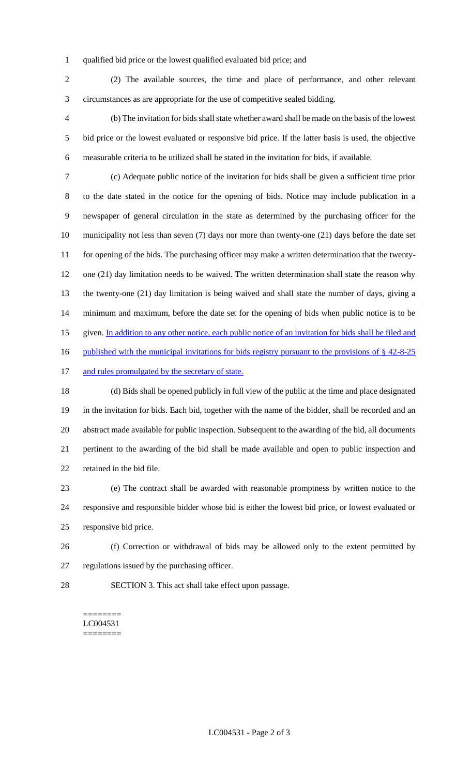qualified bid price or the lowest qualified evaluated bid price; and

 (2) The available sources, the time and place of performance, and other relevant circumstances as are appropriate for the use of competitive sealed bidding.

 (b) The invitation for bids shall state whether award shall be made on the basis of the lowest bid price or the lowest evaluated or responsive bid price. If the latter basis is used, the objective measurable criteria to be utilized shall be stated in the invitation for bids, if available.

 (c) Adequate public notice of the invitation for bids shall be given a sufficient time prior to the date stated in the notice for the opening of bids. Notice may include publication in a newspaper of general circulation in the state as determined by the purchasing officer for the municipality not less than seven (7) days nor more than twenty-one (21) days before the date set 11 for opening of the bids. The purchasing officer may make a written determination that the twenty- one (21) day limitation needs to be waived. The written determination shall state the reason why the twenty-one (21) day limitation is being waived and shall state the number of days, giving a minimum and maximum, before the date set for the opening of bids when public notice is to be 15 given. In addition to any other notice, each public notice of an invitation for bids shall be filed and 16 published with the municipal invitations for bids registry pursuant to the provisions of § 42-8-25 17 and rules promulgated by the secretary of state.

 (d) Bids shall be opened publicly in full view of the public at the time and place designated in the invitation for bids. Each bid, together with the name of the bidder, shall be recorded and an abstract made available for public inspection. Subsequent to the awarding of the bid, all documents pertinent to the awarding of the bid shall be made available and open to public inspection and retained in the bid file.

 (e) The contract shall be awarded with reasonable promptness by written notice to the responsive and responsible bidder whose bid is either the lowest bid price, or lowest evaluated or responsive bid price.

- (f) Correction or withdrawal of bids may be allowed only to the extent permitted by regulations issued by the purchasing officer.
- SECTION 3. This act shall take effect upon passage.

======== LC004531 ========